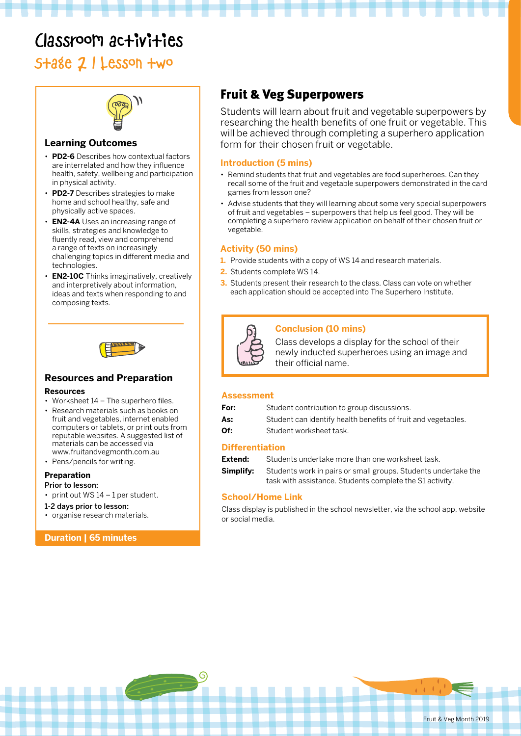# Classroom activities

## Stage 2 | Lesson two



#### **Learning Outcomes**

- **PD2-6** Describes how contextual factors are interrelated and how they influence health, safety, wellbeing and participation in physical activity.
- **PD2-7** Describes strategies to make home and school healthy, safe and physically active spaces.
- **EN2-4A** Uses an increasing range of skills, strategies and knowledge to fluently read, view and comprehend a range of texts on increasingly challenging topics in different media and technologies.
- **EN2-10C** Thinks imaginatively, creatively and interpretively about information, ideas and texts when responding to and composing texts.



#### **Resources and Preparation**

#### **Resources**

- Worksheet 14 The superhero files.
- Research materials such as books on fruit and vegetables, internet enabled computers or tablets, or print outs from reputable websites. A suggested list of materials can be accessed via www.fruitandvegmonth.com.au
- Pens/pencils for writing.

#### **Preparation**

- Prior to lesson:
- print out WS 14 1 per student.
- 1-2 days prior to lesson:
- organise research materials.

#### **Duration | 65 minutes**

### Fruit & Veg Superpowers

Students will learn about fruit and vegetable superpowers by researching the health benefits of one fruit or vegetable. This will be achieved through completing a superhero application form for their chosen fruit or vegetable.

#### **Introduction (5 mins)**

- Remind students that fruit and vegetables are food superheroes. Can they recall some of the fruit and vegetable superpowers demonstrated in the card games from lesson one?
- Advise students that they will learning about some very special superpowers of fruit and vegetables – superpowers that help us feel good. They will be completing a superhero review application on behalf of their chosen fruit or vegetable.

#### **Activity (50 mins)**

- **1.** Provide students with a copy of WS 14 and research materials.
- **2.** Students complete WS 14.
- **3.** Students present their research to the class. Class can vote on whether each application should be accepted into The Superhero Institute.



#### **Conclusion (10 mins)**

Class develops a display for the school of their newly inducted superheroes using an image and their official name.

#### **Assessment**

| For: | Student contribution to group discussions.                    |
|------|---------------------------------------------------------------|
| As:  | Student can identify health benefits of fruit and vegetables. |

**Of:** Student worksheet task.

#### **Differentiation**

**Extend:** Students undertake more than one worksheet task.

**Simplify:** Students work in pairs or small groups. Students undertake the task with assistance. Students complete the S1 activity.

#### **School/Home Link**

G

Class display is published in the school newsletter, via the school app, website or social media.